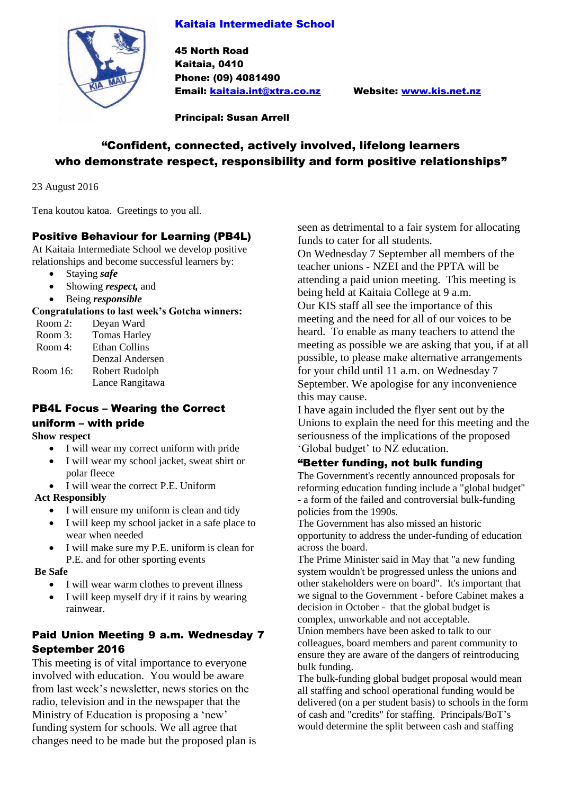### Kaitaia Intermediate School



45 North Road Kaitaia, 0410 Phone: (09) 4081490 Email: [kaitaia.int@xtra.co.nz](mailto:kaitaia.int@xtra.co.nz) Website: [www.kis.net.nz](http://www.kis.net.nz/)

Principal: Susan Arrell

# "Confident, connected, actively involved, lifelong learners who demonstrate respect, responsibility and form positive relationships"

23 August 2016

Tena koutou katoa. Greetings to you all.

### Positive Behaviour for Learning (PB4L)

At Kaitaia Intermediate School we develop positive relationships and become successful learners by:

- Staying *safe*
- Showing *respect,* and
- Being *responsible*

#### **Congratulations to last week's Gotcha winners:**

| Room 2:  | Deyan Ward           |
|----------|----------------------|
| Room 3:  | <b>Tomas Harley</b>  |
| Room 4:  | <b>Ethan Collins</b> |
|          | Denzal Andersen      |
| Room 16: | Robert Rudolph       |
|          | Lance Rangitawa      |
|          |                      |

# PB4L Focus – Wearing the Correct

#### uniform – with pride

#### **Show respect**

- I will wear my correct uniform with pride
- I will wear my school jacket, sweat shirt or polar fleece
- I will wear the correct P.E. Uniform

### **Act Responsibly**

- I will ensure my uniform is clean and tidy
- I will keep my school jacket in a safe place to wear when needed
- I will make sure my P.E. uniform is clean for P.E. and for other sporting events

#### **Be Safe**

- I will wear warm clothes to prevent illness
- I will keep myself dry if it rains by wearing rainwear.

## Paid Union Meeting 9 a.m. Wednesday 7 September 2016

This meeting is of vital importance to everyone involved with education. You would be aware from last week's newsletter, news stories on the radio, television and in the newspaper that the Ministry of Education is proposing a 'new' funding system for schools. We all agree that changes need to be made but the proposed plan is seen as detrimental to a fair system for allocating funds to cater for all students.

On Wednesday 7 September all members of the teacher unions - NZEI and the PPTA will be attending a paid union meeting. This meeting is being held at Kaitaia College at 9 a.m. Our KIS staff all see the importance of this meeting and the need for all of our voices to be heard. To enable as many teachers to attend the meeting as possible we are asking that you, if at all possible, to please make alternative arrangements for your child until 11 a.m. on Wednesday 7 September. We apologise for any inconvenience this may cause.

I have again included the flyer sent out by the Unions to explain the need for this meeting and the seriousness of the implications of the proposed 'Global budget' to NZ education.

### "Better funding, not bulk funding

The Government's recently announced proposals for reforming education funding include a "global budget" - a form of the failed and controversial bulk-funding policies from the 1990s.

The Government has also missed an historic opportunity to address the under-funding of education across the board.

The Prime Minister said in May that "a new funding system wouldn't be progressed unless the unions and other stakeholders were on board". It's important that we signal to the Government - before Cabinet makes a decision in October - that the global budget is complex, unworkable and not acceptable.

Union members have been asked to talk to our colleagues, board members and parent community to ensure they are aware of the dangers of reintroducing bulk funding.

The bulk-funding global budget proposal would mean all staffing and school operational funding would be delivered (on a per student basis) to schools in the form of cash and "credits" for staffing. Principals/BoT's would determine the split between cash and staffing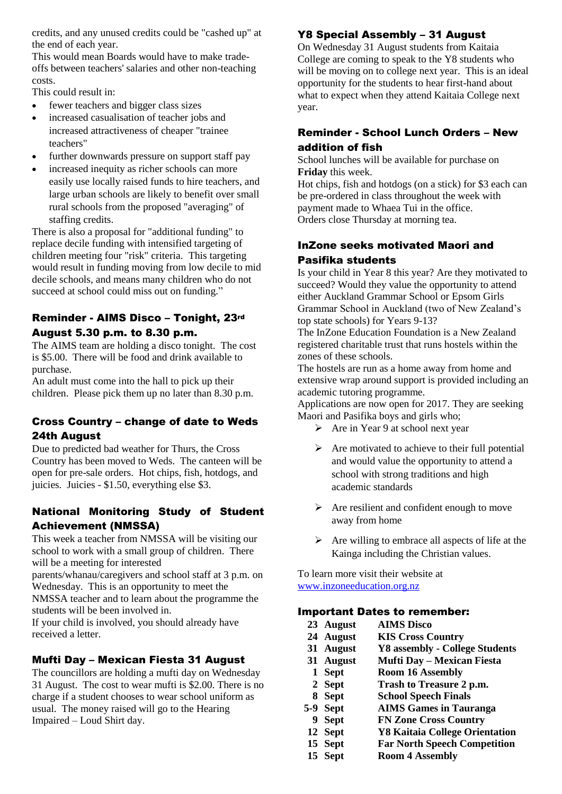credits, and any unused credits could be "cashed up" at the end of each year.

This would mean Boards would have to make tradeoffs between teachers' salaries and other non-teaching costs.

This could result in:

- fewer teachers and bigger class sizes
- increased casualisation of teacher jobs and increased attractiveness of cheaper "trainee teachers"
- further downwards pressure on support staff pay
- increased inequity as richer schools can more easily use locally raised funds to hire teachers, and large urban schools are likely to benefit over small rural schools from the proposed "averaging" of staffing credits.

There is also a proposal for "additional funding" to replace decile funding with intensified targeting of children meeting four "risk" criteria. This targeting would result in funding moving from low decile to mid decile schools, and means many children who do not succeed at school could miss out on funding."

### Reminder - AIMS Disco – Tonight, 23rd August 5.30 p.m. to 8.30 p.m.

The AIMS team are holding a disco tonight. The cost is \$5.00. There will be food and drink available to purchase.

An adult must come into the hall to pick up their children. Please pick them up no later than 8.30 p.m.

## Cross Country – change of date to Weds 24th August

Due to predicted bad weather for Thurs, the Cross Country has been moved to Weds. The canteen will be open for pre-sale orders. Hot chips, fish, hotdogs, and juicies. Juicies - \$1.50, everything else \$3.

## National Monitoring Study of Student Achievement (NMSSA)

This week a teacher from NMSSA will be visiting our school to work with a small group of children. There will be a meeting for interested

parents/whanau/caregivers and school staff at 3 p.m. on Wednesday. This is an opportunity to meet the NMSSA teacher and to learn about the programme the

students will be been involved in. If your child is involved, you should already have

received a letter.

### Mufti Day – Mexican Fiesta 31 August

The councillors are holding a mufti day on Wednesday 31 August. The cost to wear mufti is \$2.00. There is no charge if a student chooses to wear school uniform as usual. The money raised will go to the Hearing Impaired – Loud Shirt day.

# Y8 Special Assembly – 31 August

On Wednesday 31 August students from Kaitaia College are coming to speak to the Y8 students who will be moving on to college next year. This is an ideal opportunity for the students to hear first-hand about what to expect when they attend Kaitaia College next year.

## Reminder - School Lunch Orders – New addition of fish

School lunches will be available for purchase on **Friday** this week.

Hot chips, fish and hotdogs (on a stick) for \$3 each can be pre-ordered in class throughout the week with payment made to Whaea Tui in the office. Orders close Thursday at morning tea.

## InZone seeks motivated Maori and Pasifika students

Is your child in Year 8 this year? Are they motivated to succeed? Would they value the opportunity to attend either Auckland Grammar School or Epsom Girls Grammar School in Auckland (two of New Zealand's top state schools) for Years 9-13?

The InZone Education Foundation is a New Zealand registered charitable trust that runs hostels within the zones of these schools.

The hostels are run as a home away from home and extensive wrap around support is provided including an academic tutoring programme.

Applications are now open for 2017. They are seeking Maori and Pasifika boys and girls who;

- $\triangleright$  Are in Year 9 at school next year
- $\triangleright$  Are motivated to achieve to their full potential and would value the opportunity to attend a school with strong traditions and high academic standards
- $\triangleright$  Are resilient and confident enough to move away from home
- $\triangleright$  Are willing to embrace all aspects of life at the Kainga including the Christian values.

To learn more visit their website at [www.inzoneeducation.org.nz](http://www.inzoneeducation.org.nz/)

### Important Dates to remember:

| 23 August | <b>AIMS Disco</b>                     |
|-----------|---------------------------------------|
| 24 August | <b>KIS Cross Country</b>              |
| 31 August | <b>Y8</b> assembly - College Students |
| 31 August | <b>Mufti Day – Mexican Fiesta</b>     |
| 1 Sept    | <b>Room 16 Assembly</b>               |
| 2 Sept    | Trash to Treasure 2 p.m.              |
| 8 Sept    | <b>School Speech Finals</b>           |
| 5-9 Sept  | <b>AIMS Games in Tauranga</b>         |
| 9 Sept    | <b>FN Zone Cross Country</b>          |
| 12 Sept   | <b>Y8 Kaitaia College Orientation</b> |
| 15 Sept   | <b>Far North Speech Competition</b>   |
| 15 Sept   | <b>Room 4 Assembly</b>                |